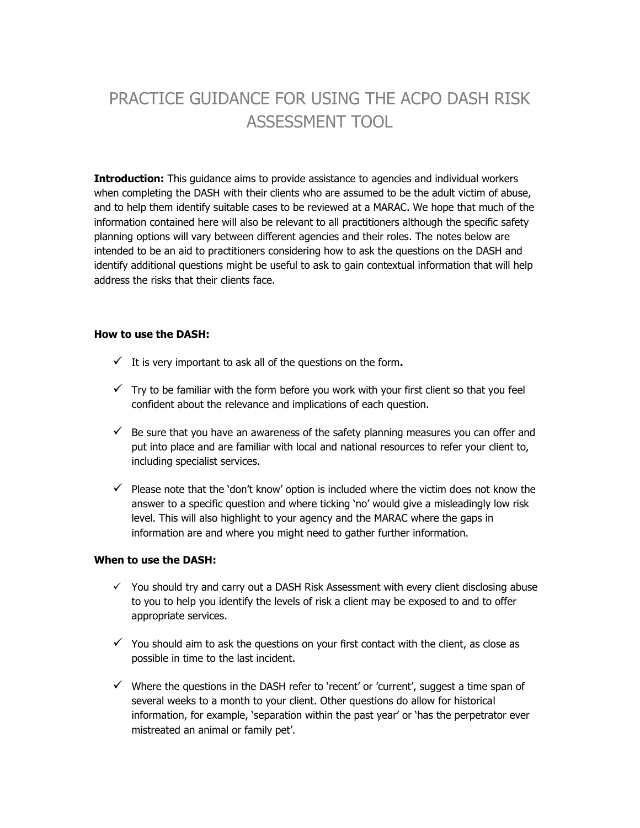# PRACTICE GUIDANCE FOR USING THE ACPO DASH RISK ASSESSMENT TOOL

**Introduction:** This guidance aims to provide assistance to agencies and individual workers when completing the DASH with their clients who are assumed to be the adult victim of abuse, and to help them identify suitable cases to be reviewed at a MARAC. We hope that much of the information contained here will also be relevant to all practitioners although the specific safety planning options will vary between different agencies and their roles. The notes below are intended to be an aid to practitioners considering how to ask the questions on the DASH and identify additional questions might be useful to ask to gain contextual information that will help address the risks that their clients face.

#### **How to use the DASH:**

- $\checkmark$  It is very important to ask all of the questions on the form.
- $\checkmark$  Try to be familiar with the form before you work with your first client so that you feel confident about the relevance and implications of each question.
- $\checkmark$  Be sure that you have an awareness of the safety planning measures you can offer and put into place and are familiar with local and national resources to refer your client to, including specialist services.
- $\checkmark$  Please note that the 'don't know' option is included where the victim does not know the answer to a specific question and where ticking 'no' would give a misleadingly low risk level. This will also highlight to your agency and the MARAC where the gaps in information are and where you might need to gather further information.

#### **When to use the DASH:**

- $\checkmark$  You should try and carry out a DASH Risk Assessment with every client disclosing abuse to you to help you identify the levels of risk a client may be exposed to and to offer appropriate services.
- $\checkmark$  You should aim to ask the questions on your first contact with the client, as close as possible in time to the last incident.
- $\checkmark$  Where the questions in the DASH refer to 'recent' or 'current', suggest a time span of several weeks to a month to your client. Other questions do allow for historical information, for example, 'separation within the past year' or 'has the perpetrator ever mistreated an animal or family pet'.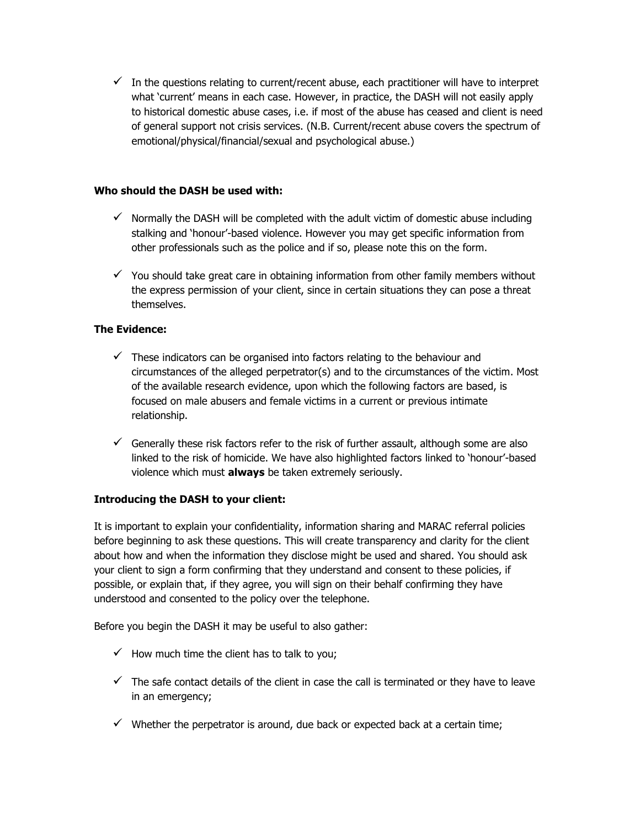$\checkmark$  In the questions relating to current/recent abuse, each practitioner will have to interpret what 'current' means in each case. However, in practice, the DASH will not easily apply to historical domestic abuse cases, i.e. if most of the abuse has ceased and client is need of general support not crisis services. (N.B. Current/recent abuse covers the spectrum of emotional/physical/financial/sexual and psychological abuse.)

#### **Who should the DASH be used with:**

- $\checkmark$  Normally the DASH will be completed with the adult victim of domestic abuse including stalking and 'honour'-based violence. However you may get specific information from other professionals such as the police and if so, please note this on the form.
- $\checkmark$  You should take great care in obtaining information from other family members without the express permission of your client, since in certain situations they can pose a threat themselves.

#### **The Evidence:**

- $\checkmark$  These indicators can be organised into factors relating to the behaviour and circumstances of the alleged perpetrator(s) and to the circumstances of the victim. Most of the available research evidence, upon which the following factors are based, is focused on male abusers and female victims in a current or previous intimate relationship.
- $\checkmark$  Generally these risk factors refer to the risk of further assault, although some are also linked to the risk of homicide. We have also highlighted factors linked to 'honour'-based violence which must **always** be taken extremely seriously.

#### **Introducing the DASH to your client:**

It is important to explain your confidentiality, information sharing and MARAC referral policies before beginning to ask these questions. This will create transparency and clarity for the client about how and when the information they disclose might be used and shared. You should ask your client to sign a form confirming that they understand and consent to these policies, if possible, or explain that, if they agree, you will sign on their behalf confirming they have understood and consented to the policy over the telephone.

Before you begin the DASH it may be useful to also gather:

- $\checkmark$  How much time the client has to talk to you;
- $\checkmark$  The safe contact details of the client in case the call is terminated or they have to leave in an emergency;
- $\checkmark$  Whether the perpetrator is around, due back or expected back at a certain time;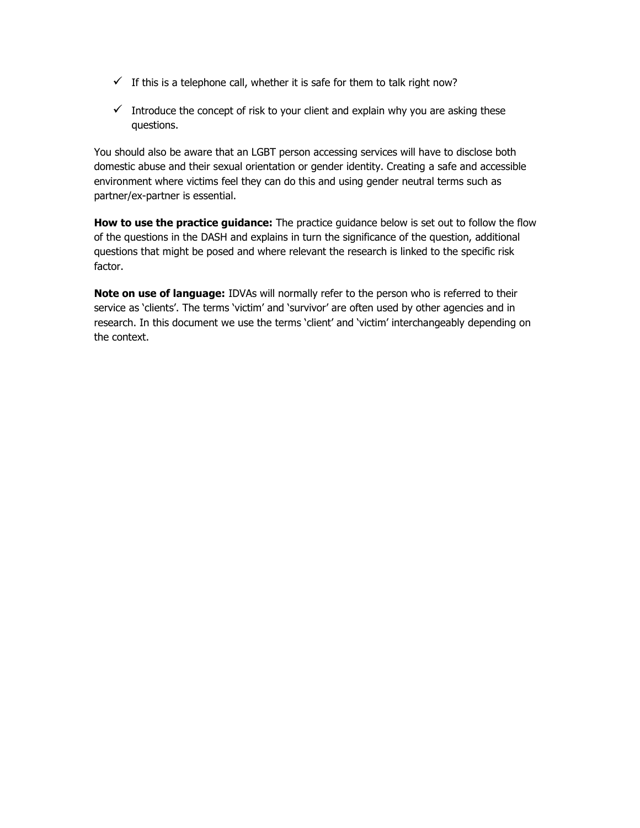- $\checkmark$  If this is a telephone call, whether it is safe for them to talk right now?
- $\checkmark$  Introduce the concept of risk to your client and explain why you are asking these questions.

You should also be aware that an LGBT person accessing services will have to disclose both domestic abuse and their sexual orientation or gender identity. Creating a safe and accessible environment where victims feel they can do this and using gender neutral terms such as partner/ex-partner is essential.

**How to use the practice guidance:** The practice guidance below is set out to follow the flow of the questions in the DASH and explains in turn the significance of the question, additional questions that might be posed and where relevant the research is linked to the specific risk factor.

**Note on use of language:** IDVAs will normally refer to the person who is referred to their service as 'clients'. The terms 'victim' and 'survivor' are often used by other agencies and in research. In this document we use the terms 'client' and 'victim' interchangeably depending on the context.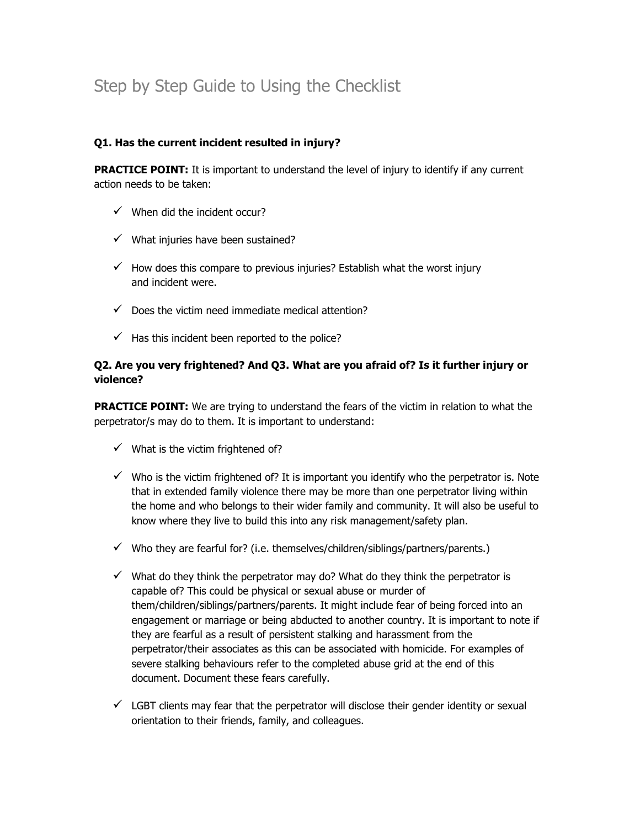## Step by Step Guide to Using the Checklist

#### **Q1. Has the current incident resulted in injury?**

**PRACTICE POINT:** It is important to understand the level of injury to identify if any current action needs to be taken:

- $\checkmark$  When did the incident occur?
- $\checkmark$  What injuries have been sustained?
- $\checkmark$  How does this compare to previous injuries? Establish what the worst injury and incident were.
- $\checkmark$  Does the victim need immediate medical attention?
- $\checkmark$  Has this incident been reported to the police?

#### **Q2. Are you very frightened? And Q3. What are you afraid of? Is it further injury or violence?**

**PRACTICE POINT:** We are trying to understand the fears of the victim in relation to what the perpetrator/s may do to them. It is important to understand:

- $\checkmark$  What is the victim frightened of?
- $\checkmark$  Who is the victim frightened of? It is important you identify who the perpetrator is. Note that in extended family violence there may be more than one perpetrator living within the home and who belongs to their wider family and community. It will also be useful to know where they live to build this into any risk management/safety plan.
- $\checkmark$  Who they are fearful for? (i.e. themselves/children/siblings/partners/parents.)
- $\checkmark$  What do they think the perpetrator may do? What do they think the perpetrator is capable of? This could be physical or sexual abuse or murder of them/children/siblings/partners/parents. It might include fear of being forced into an engagement or marriage or being abducted to another country. It is important to note if they are fearful as a result of persistent stalking and harassment from the perpetrator/their associates as this can be associated with homicide. For examples of severe stalking behaviours refer to the completed abuse grid at the end of this document. Document these fears carefully.
- $\checkmark$  LGBT clients may fear that the perpetrator will disclose their gender identity or sexual orientation to their friends, family, and colleagues.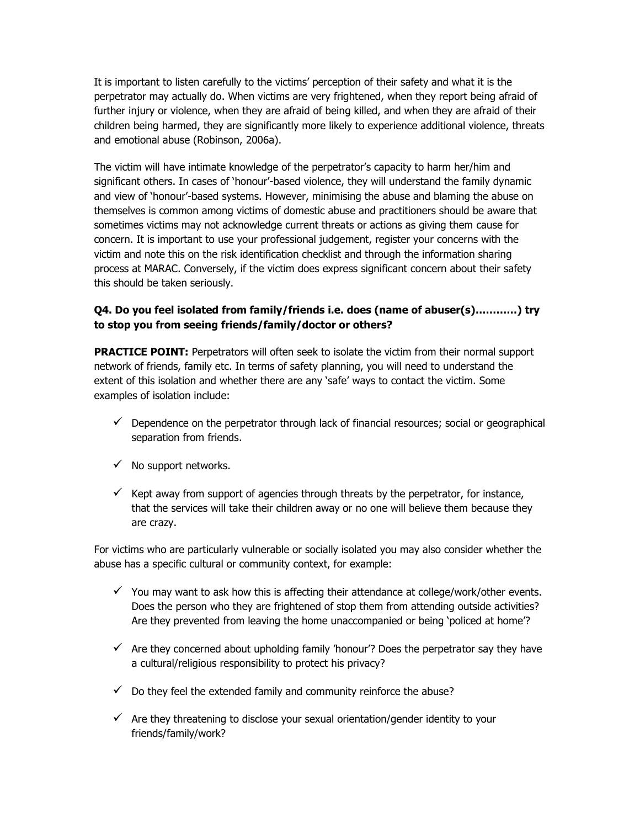It is important to listen carefully to the victims' perception of their safety and what it is the perpetrator may actually do. When victims are very frightened, when they report being afraid of further injury or violence, when they are afraid of being killed, and when they are afraid of their children being harmed, they are significantly more likely to experience additional violence, threats and emotional abuse (Robinson, 2006a).

The victim will have intimate knowledge of the perpetrator's capacity to harm her/him and significant others. In cases of 'honour'-based violence, they will understand the family dynamic and view of 'honour'-based systems. However, minimising the abuse and blaming the abuse on themselves is common among victims of domestic abuse and practitioners should be aware that sometimes victims may not acknowledge current threats or actions as giving them cause for concern. It is important to use your professional judgement, register your concerns with the victim and note this on the risk identification checklist and through the information sharing process at MARAC. Conversely, if the victim does express significant concern about their safety this should be taken seriously.

### **Q4. Do you feel isolated from family/friends i.e. does (name of abuser(s)…………) try to stop you from seeing friends/family/doctor or others?**

**PRACTICE POINT:** Perpetrators will often seek to isolate the victim from their normal support network of friends, family etc. In terms of safety planning, you will need to understand the extent of this isolation and whether there are any 'safe' ways to contact the victim. Some examples of isolation include:

- $\checkmark$  Dependence on the perpetrator through lack of financial resources; social or geographical separation from friends.
- $\checkmark$  No support networks.
- $\checkmark$  Kept away from support of agencies through threats by the perpetrator, for instance, that the services will take their children away or no one will believe them because they are crazy.

For victims who are particularly vulnerable or socially isolated you may also consider whether the abuse has a specific cultural or community context, for example:

- $\checkmark$  You may want to ask how this is affecting their attendance at college/work/other events. Does the person who they are frightened of stop them from attending outside activities? Are they prevented from leaving the home unaccompanied or being 'policed at home'?
- $\checkmark$  Are they concerned about upholding family 'honour'? Does the perpetrator say they have a cultural/religious responsibility to protect his privacy?
- $\checkmark$  Do they feel the extended family and community reinforce the abuse?
- $\checkmark$  Are they threatening to disclose your sexual orientation/gender identity to your friends/family/work?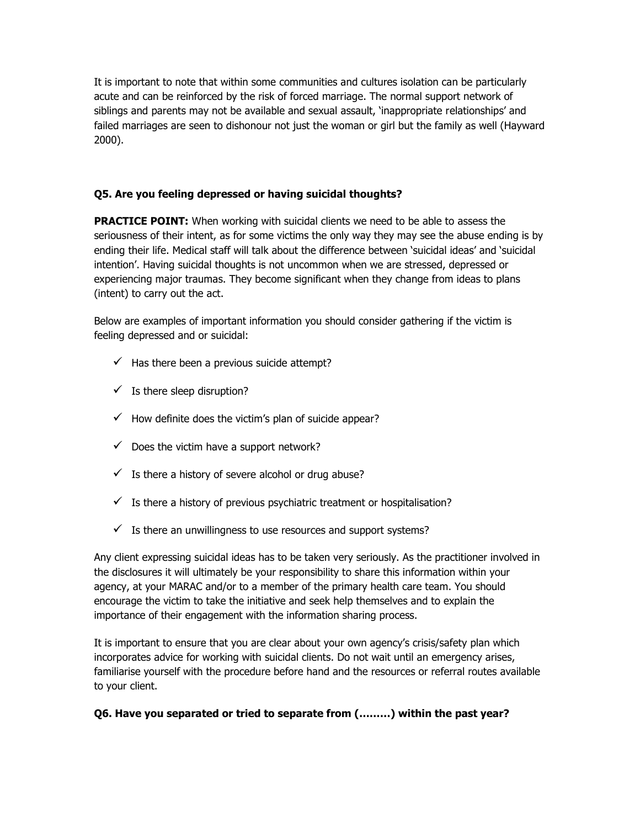It is important to note that within some communities and cultures isolation can be particularly acute and can be reinforced by the risk of forced marriage. The normal support network of siblings and parents may not be available and sexual assault, 'inappropriate relationships' and failed marriages are seen to dishonour not just the woman or girl but the family as well (Hayward 2000).

## **Q5. Are you feeling depressed or having suicidal thoughts?**

**PRACTICE POINT:** When working with suicidal clients we need to be able to assess the seriousness of their intent, as for some victims the only way they may see the abuse ending is by ending their life. Medical staff will talk about the difference between 'suicidal ideas' and 'suicidal intention'. Having suicidal thoughts is not uncommon when we are stressed, depressed or experiencing major traumas. They become significant when they change from ideas to plans (intent) to carry out the act.

Below are examples of important information you should consider gathering if the victim is feeling depressed and or suicidal:

- $\checkmark$  Has there been a previous suicide attempt?
- $\checkmark$  Is there sleep disruption?
- $\checkmark$  How definite does the victim's plan of suicide appear?
- $\checkmark$  Does the victim have a support network?
- $\checkmark$  Is there a history of severe alcohol or drug abuse?
- $\checkmark$  Is there a history of previous psychiatric treatment or hospitalisation?
- $\checkmark$  Is there an unwillingness to use resources and support systems?

Any client expressing suicidal ideas has to be taken very seriously. As the practitioner involved in the disclosures it will ultimately be your responsibility to share this information within your agency, at your MARAC and/or to a member of the primary health care team. You should encourage the victim to take the initiative and seek help themselves and to explain the importance of their engagement with the information sharing process.

It is important to ensure that you are clear about your own agency's crisis/safety plan which incorporates advice for working with suicidal clients. Do not wait until an emergency arises, familiarise yourself with the procedure before hand and the resources or referral routes available to your client.

#### **Q6. Have you separated or tried to separate from (………) within the past year?**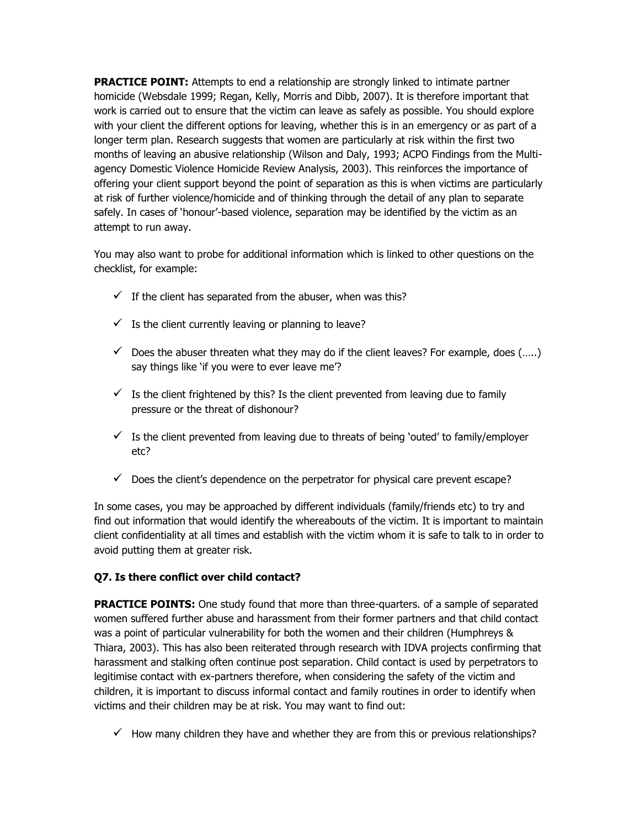**PRACTICE POINT:** Attempts to end a relationship are strongly linked to intimate partner homicide (Websdale 1999; Regan, Kelly, Morris and Dibb, 2007). It is therefore important that work is carried out to ensure that the victim can leave as safely as possible. You should explore with your client the different options for leaving, whether this is in an emergency or as part of a longer term plan. Research suggests that women are particularly at risk within the first two months of leaving an abusive relationship (Wilson and Daly, 1993; ACPO Findings from the Multiagency Domestic Violence Homicide Review Analysis, 2003). This reinforces the importance of offering your client support beyond the point of separation as this is when victims are particularly at risk of further violence/homicide and of thinking through the detail of any plan to separate safely. In cases of 'honour'-based violence, separation may be identified by the victim as an attempt to run away.

You may also want to probe for additional information which is linked to other questions on the checklist, for example:

- $\checkmark$  If the client has separated from the abuser, when was this?
- $\checkmark$  Is the client currently leaving or planning to leave?
- $\checkmark$  Does the abuser threaten what they may do if the client leaves? For example, does (.....) say things like 'if you were to ever leave me'?
- $\checkmark$  Is the client frightened by this? Is the client prevented from leaving due to family pressure or the threat of dishonour?
- $\checkmark$  Is the client prevented from leaving due to threats of being 'outed' to family/employer etc?
- $\checkmark$  Does the client's dependence on the perpetrator for physical care prevent escape?

In some cases, you may be approached by different individuals (family/friends etc) to try and find out information that would identify the whereabouts of the victim. It is important to maintain client confidentiality at all times and establish with the victim whom it is safe to talk to in order to avoid putting them at greater risk.

#### **Q7. Is there conflict over child contact?**

**PRACTICE POINTS:** One study found that more than three-quarters. of a sample of separated women suffered further abuse and harassment from their former partners and that child contact was a point of particular vulnerability for both the women and their children (Humphreys & Thiara, 2003). This has also been reiterated through research with IDVA projects confirming that harassment and stalking often continue post separation. Child contact is used by perpetrators to legitimise contact with ex-partners therefore, when considering the safety of the victim and children, it is important to discuss informal contact and family routines in order to identify when victims and their children may be at risk. You may want to find out:

 $\checkmark$  How many children they have and whether they are from this or previous relationships?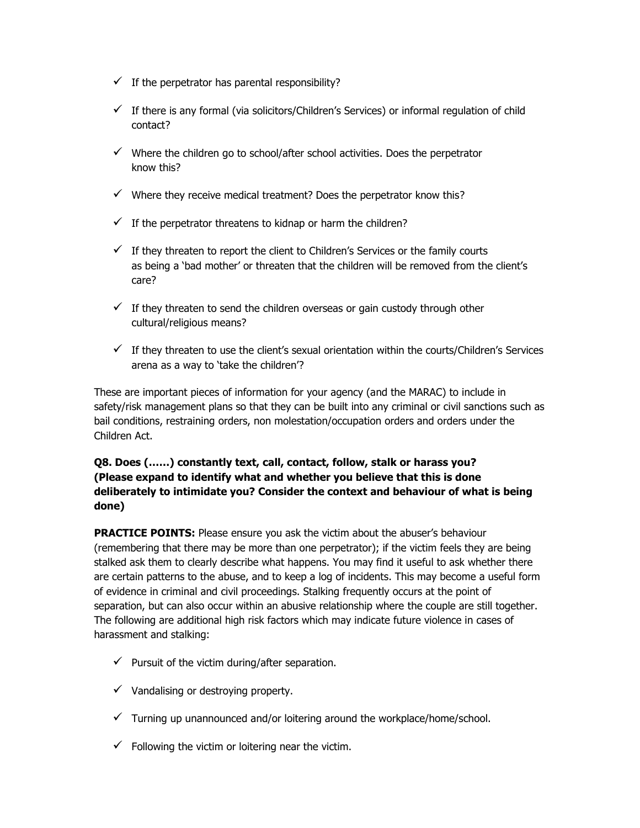- $\checkmark$  If the perpetrator has parental responsibility?
- $\checkmark$  If there is any formal (via solicitors/Children's Services) or informal regulation of child contact?
- $\checkmark$  Where the children go to school/after school activities. Does the perpetrator know this?
- $\checkmark$  Where they receive medical treatment? Does the perpetrator know this?
- $\checkmark$  If the perpetrator threatens to kidnap or harm the children?
- $\checkmark$  If they threaten to report the client to Children's Services or the family courts as being a 'bad mother' or threaten that the children will be removed from the client's care?
- $\checkmark$  If they threaten to send the children overseas or gain custody through other cultural/religious means?
- $\checkmark$  If they threaten to use the client's sexual orientation within the courts/Children's Services arena as a way to 'take the children'?

These are important pieces of information for your agency (and the MARAC) to include in safety/risk management plans so that they can be built into any criminal or civil sanctions such as bail conditions, restraining orders, non molestation/occupation orders and orders under the Children Act.

## **Q8. Does (……) constantly text, call, contact, follow, stalk or harass you? (Please expand to identify what and whether you believe that this is done deliberately to intimidate you? Consider the context and behaviour of what is being done)**

**PRACTICE POINTS:** Please ensure you ask the victim about the abuser's behaviour (remembering that there may be more than one perpetrator); if the victim feels they are being stalked ask them to clearly describe what happens. You may find it useful to ask whether there are certain patterns to the abuse, and to keep a log of incidents. This may become a useful form of evidence in criminal and civil proceedings. Stalking frequently occurs at the point of separation, but can also occur within an abusive relationship where the couple are still together. The following are additional high risk factors which may indicate future violence in cases of harassment and stalking:

- $\checkmark$  Pursuit of the victim during/after separation.
- $\checkmark$  Vandalising or destroying property.
- $\checkmark$  Turning up unannounced and/or loitering around the workplace/home/school.
- $\checkmark$  Following the victim or loitering near the victim.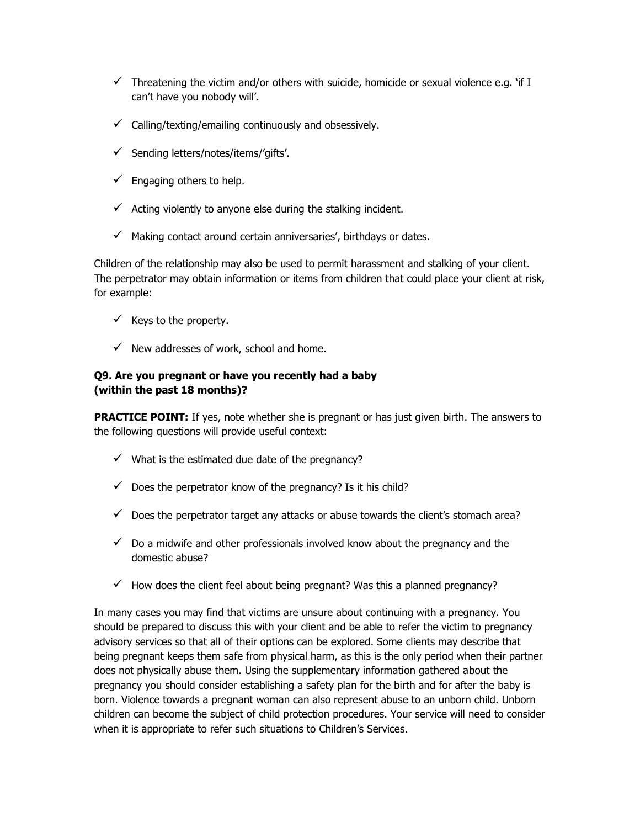- $\checkmark$  Threatening the victim and/or others with suicide, homicide or sexual violence e.g. 'if I can't have you nobody will'.
- $\checkmark$  Calling/texting/emailing continuously and obsessively.
- $\checkmark$  Sending letters/notes/items/'gifts'.
- $\checkmark$  Engaging others to help.
- $\checkmark$  Acting violently to anyone else during the stalking incident.
- $\checkmark$  Making contact around certain anniversaries', birthdays or dates.

Children of the relationship may also be used to permit harassment and stalking of your client. The perpetrator may obtain information or items from children that could place your client at risk, for example:

- $\checkmark$  Keys to the property.
- $\checkmark$  New addresses of work, school and home.

#### **Q9. Are you pregnant or have you recently had a baby (within the past 18 months)?**

**PRACTICE POINT:** If yes, note whether she is pregnant or has just given birth. The answers to the following questions will provide useful context:

- $\checkmark$  What is the estimated due date of the pregnancy?
- $\checkmark$  Does the perpetrator know of the pregnancy? Is it his child?
- $\checkmark$  Does the perpetrator target any attacks or abuse towards the client's stomach area?
- $\checkmark$  Do a midwife and other professionals involved know about the pregnancy and the domestic abuse?
- $\checkmark$  How does the client feel about being pregnant? Was this a planned pregnancy?

In many cases you may find that victims are unsure about continuing with a pregnancy. You should be prepared to discuss this with your client and be able to refer the victim to pregnancy advisory services so that all of their options can be explored. Some clients may describe that being pregnant keeps them safe from physical harm, as this is the only period when their partner does not physically abuse them. Using the supplementary information gathered about the pregnancy you should consider establishing a safety plan for the birth and for after the baby is born. Violence towards a pregnant woman can also represent abuse to an unborn child. Unborn children can become the subject of child protection procedures. Your service will need to consider when it is appropriate to refer such situations to Children's Services.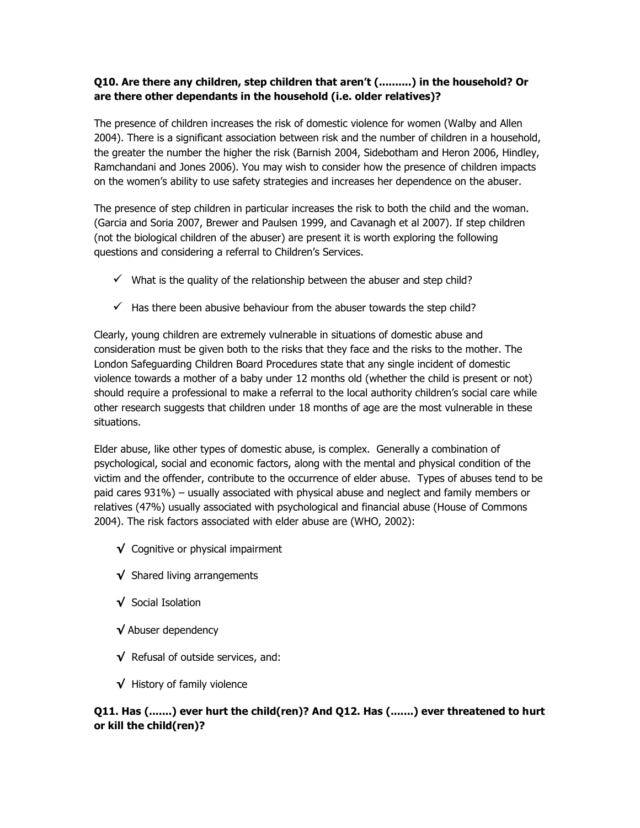### **Q10. Are there any children, step children that aren't (..........) in the household? Or are there other dependants in the household (i.e. older relatives)?**

The presence of children increases the risk of domestic violence for women (Walby and Allen 2004). There is a significant association between risk and the number of children in a household, the greater the number the higher the risk (Barnish 2004, Sidebotham and Heron 2006, Hindley, Ramchandani and Jones 2006). You may wish to consider how the presence of children impacts on the women's ability to use safety strategies and increases her dependence on the abuser.

The presence of step children in particular increases the risk to both the child and the woman. (Garcia and Soria 2007, Brewer and Paulsen 1999, and Cavanagh et al 2007). If step children (not the biological children of the abuser) are present it is worth exploring the following questions and considering a referral to Children's Services.

- $\checkmark$  What is the quality of the relationship between the abuser and step child?
- $\checkmark$  Has there been abusive behaviour from the abuser towards the step child?

Clearly, young children are extremely vulnerable in situations of domestic abuse and consideration must be given both to the risks that they face and the risks to the mother. The London Safeguarding Children Board Procedures state that any single incident of domestic violence towards a mother of a baby under 12 months old (whether the child is present or not) should require a professional to make a referral to the local authority children's social care while other research suggests that children under 18 months of age are the most vulnerable in these situations.

Elder abuse, like other types of domestic abuse, is complex. Generally a combination of psychological, social and economic factors, along with the mental and physical condition of the victim and the offender, contribute to the occurrence of elder abuse. Types of abuses tend to be paid cares 931%) – usually associated with physical abuse and neglect and family members or relatives (47%) usually associated with psychological and financial abuse (House of Commons 2004). The risk factors associated with elder abuse are (WHO, 2002):

- **√** Cognitive or physical impairment
- **√** Shared living arrangements
- **√** Social Isolation
- **√** Abuser dependency
- **√** Refusal of outside services, and:
- **√** History of family violence

## **Q11. Has (.......) ever hurt the child(ren)? And Q12. Has (.......) ever threatened to hurt or kill the child(ren)?**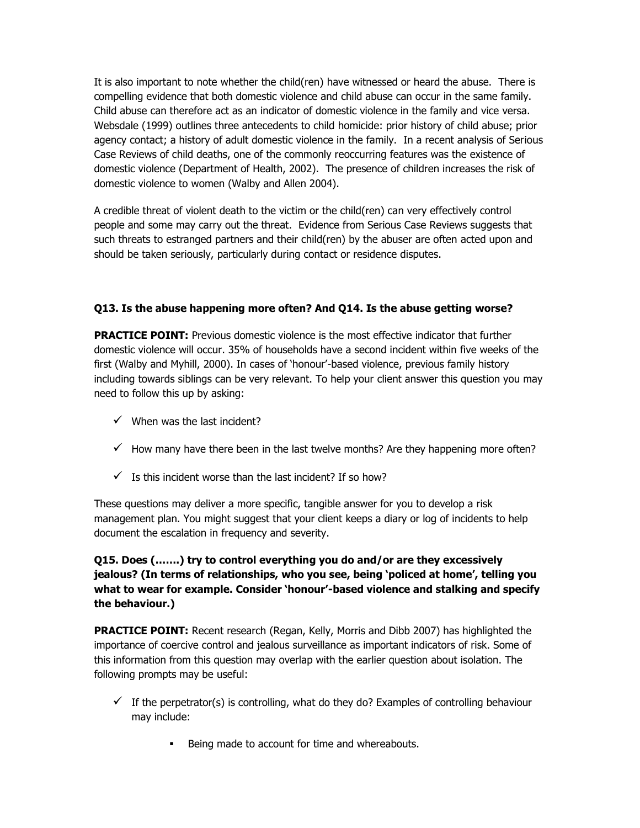It is also important to note whether the child(ren) have witnessed or heard the abuse. There is compelling evidence that both domestic violence and child abuse can occur in the same family. Child abuse can therefore act as an indicator of domestic violence in the family and vice versa. Websdale (1999) outlines three antecedents to child homicide: prior history of child abuse; prior agency contact; a history of adult domestic violence in the family. In a recent analysis of Serious Case Reviews of child deaths, one of the commonly reoccurring features was the existence of domestic violence (Department of Health, 2002). The presence of children increases the risk of domestic violence to women (Walby and Allen 2004).

A credible threat of violent death to the victim or the child(ren) can very effectively control people and some may carry out the threat. Evidence from Serious Case Reviews suggests that such threats to estranged partners and their child(ren) by the abuser are often acted upon and should be taken seriously, particularly during contact or residence disputes.

## **Q13. Is the abuse happening more often? And Q14. Is the abuse getting worse?**

**PRACTICE POINT:** Previous domestic violence is the most effective indicator that further domestic violence will occur. 35% of households have a second incident within five weeks of the first (Walby and Myhill, 2000). In cases of 'honour'-based violence, previous family history including towards siblings can be very relevant. To help your client answer this question you may need to follow this up by asking:

- $\checkmark$  When was the last incident?
- $\checkmark$  How many have there been in the last twelve months? Are they happening more often?
- $\checkmark$  Is this incident worse than the last incident? If so how?

These questions may deliver a more specific, tangible answer for you to develop a risk management plan. You might suggest that your client keeps a diary or log of incidents to help document the escalation in frequency and severity.

## **Q15. Does (…….) try to control everything you do and/or are they excessively jealous? (In terms of relationships, who you see, being 'policed at home', telling you what to wear for example. Consider 'honour'-based violence and stalking and specify the behaviour.)**

**PRACTICE POINT:** Recent research (Regan, Kelly, Morris and Dibb 2007) has highlighted the importance of coercive control and jealous surveillance as important indicators of risk. Some of this information from this question may overlap with the earlier question about isolation. The following prompts may be useful:

- $\checkmark$  If the perpetrator(s) is controlling, what do they do? Examples of controlling behaviour may include:
	- Being made to account for time and whereabouts.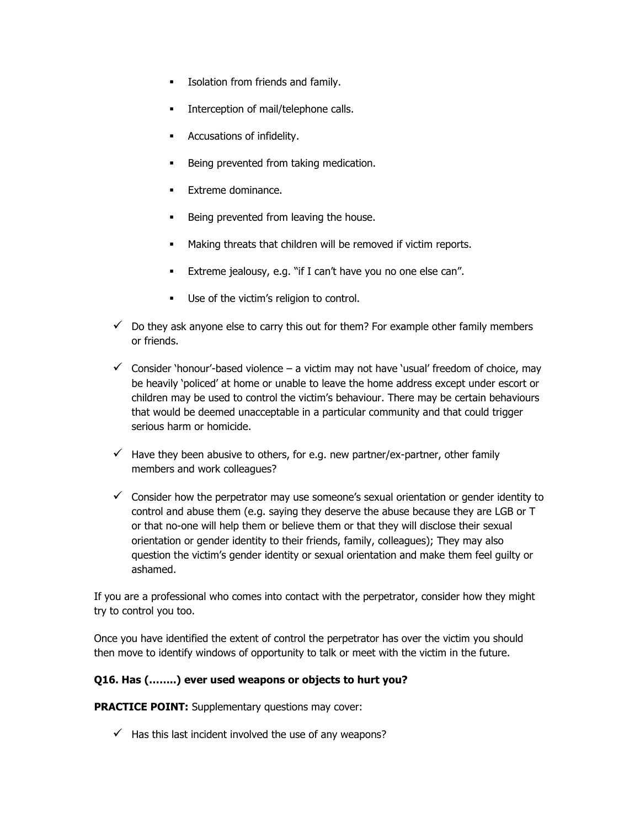- Isolation from friends and family.
- Interception of mail/telephone calls.
- **Accusations of infidelity.**
- Being prevented from taking medication.
- Extreme dominance.
- Being prevented from leaving the house.
- Making threats that children will be removed if victim reports.
- **Extreme jealousy, e.g. "if I can't have you no one else can".**
- Use of the victim's religion to control.
- $\checkmark$  Do they ask anyone else to carry this out for them? For example other family members or friends.
- $\checkmark$  Consider 'honour'-based violence a victim may not have 'usual' freedom of choice, may be heavily 'policed' at home or unable to leave the home address except under escort or children may be used to control the victim's behaviour. There may be certain behaviours that would be deemed unacceptable in a particular community and that could trigger serious harm or homicide.
- $\checkmark$  Have they been abusive to others, for e.g. new partner/ex-partner, other family members and work colleagues?
- $\checkmark$  Consider how the perpetrator may use someone's sexual orientation or gender identity to control and abuse them (e.g. saying they deserve the abuse because they are LGB or T or that no-one will help them or believe them or that they will disclose their sexual orientation or gender identity to their friends, family, colleagues); They may also question the victim's gender identity or sexual orientation and make them feel guilty or ashamed.

If you are a professional who comes into contact with the perpetrator, consider how they might try to control you too.

Once you have identified the extent of control the perpetrator has over the victim you should then move to identify windows of opportunity to talk or meet with the victim in the future.

#### **Q16. Has (……..) ever used weapons or objects to hurt you?**

**PRACTICE POINT:** Supplementary questions may cover:

 $\checkmark$  Has this last incident involved the use of any weapons?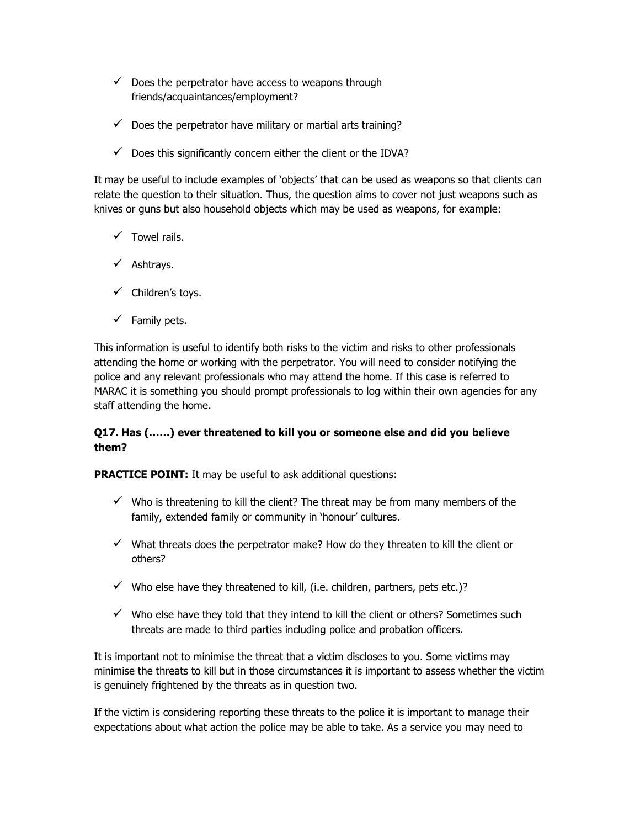- $\checkmark$  Does the perpetrator have access to weapons through friends/acquaintances/employment?
- $\checkmark$  Does the perpetrator have military or martial arts training?
- $\checkmark$  Does this significantly concern either the client or the IDVA?

It may be useful to include examples of 'objects' that can be used as weapons so that clients can relate the question to their situation. Thus, the question aims to cover not just weapons such as knives or guns but also household objects which may be used as weapons, for example:

- $\checkmark$  Towel rails.
- $\checkmark$  Ashtrays.
- $\checkmark$  Children's toys.
- $\checkmark$  Family pets.

This information is useful to identify both risks to the victim and risks to other professionals attending the home or working with the perpetrator. You will need to consider notifying the police and any relevant professionals who may attend the home. If this case is referred to MARAC it is something you should prompt professionals to log within their own agencies for any staff attending the home.

#### **Q17. Has (……) ever threatened to kill you or someone else and did you believe them?**

**PRACTICE POINT:** It may be useful to ask additional questions:

- $\checkmark$  Who is threatening to kill the client? The threat may be from many members of the family, extended family or community in 'honour' cultures.
- $\checkmark$  What threats does the perpetrator make? How do they threaten to kill the client or others?
- $\checkmark$  Who else have they threatened to kill, (i.e. children, partners, pets etc.)?
- $\checkmark$  Who else have they told that they intend to kill the client or others? Sometimes such threats are made to third parties including police and probation officers.

It is important not to minimise the threat that a victim discloses to you. Some victims may minimise the threats to kill but in those circumstances it is important to assess whether the victim is genuinely frightened by the threats as in question two.

If the victim is considering reporting these threats to the police it is important to manage their expectations about what action the police may be able to take. As a service you may need to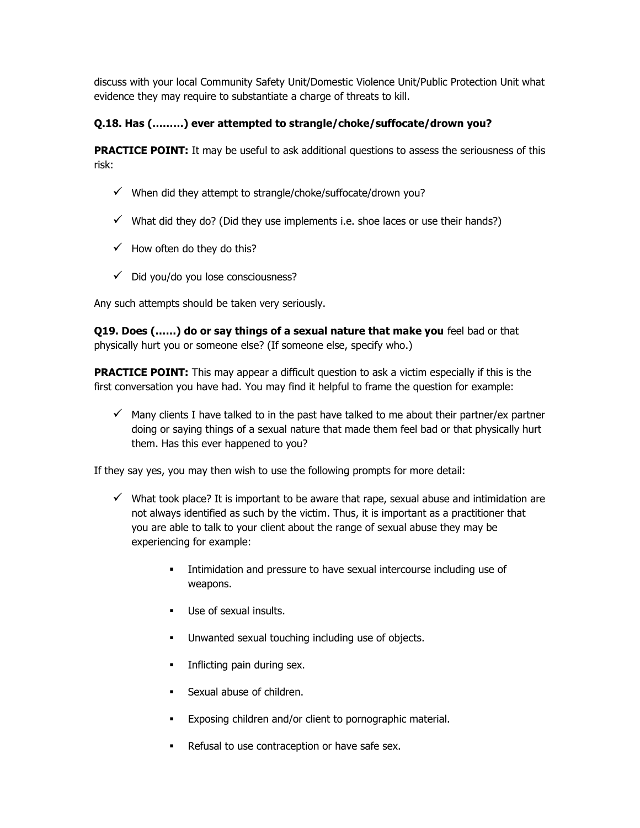discuss with your local Community Safety Unit/Domestic Violence Unit/Public Protection Unit what evidence they may require to substantiate a charge of threats to kill.

## **Q.18. Has (………) ever attempted to strangle/choke/suffocate/drown you?**

**PRACTICE POINT:** It may be useful to ask additional questions to assess the seriousness of this risk:

- $\checkmark$  When did they attempt to strangle/choke/suffocate/drown you?
- $\checkmark$  What did they do? (Did they use implements i.e. shoe laces or use their hands?)
- $\checkmark$  How often do they do this?
- $\checkmark$  Did you/do you lose consciousness?

Any such attempts should be taken very seriously.

**Q19. Does (……) do or say things of a sexual nature that make you** feel bad or that physically hurt you or someone else? (If someone else, specify who.)

**PRACTICE POINT:** This may appear a difficult question to ask a victim especially if this is the first conversation you have had. You may find it helpful to frame the question for example:

 $\checkmark$  Many clients I have talked to in the past have talked to me about their partner/ex partner doing or saying things of a sexual nature that made them feel bad or that physically hurt them. Has this ever happened to you?

If they say yes, you may then wish to use the following prompts for more detail:

- $\checkmark$  What took place? It is important to be aware that rape, sexual abuse and intimidation are not always identified as such by the victim. Thus, it is important as a practitioner that you are able to talk to your client about the range of sexual abuse they may be experiencing for example:
	- **Intimidation and pressure to have sexual intercourse including use of** weapons.
	- Use of sexual insults.
	- Unwanted sexual touching including use of objects.
	- Inflicting pain during sex.
	- Sexual abuse of children.
	- Exposing children and/or client to pornographic material.
	- Refusal to use contraception or have safe sex.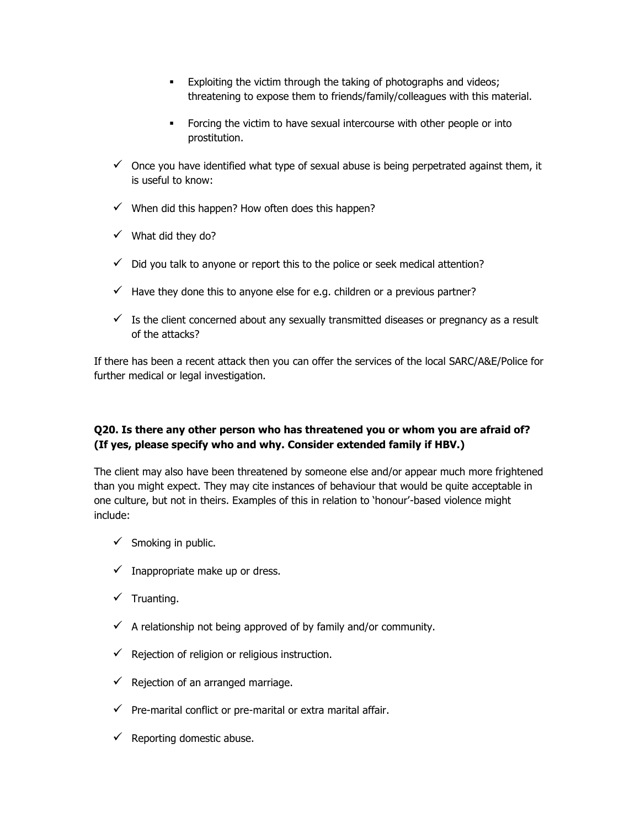- **Exploiting the victim through the taking of photographs and videos;** threatening to expose them to friends/family/colleagues with this material.
- Forcing the victim to have sexual intercourse with other people or into prostitution.
- $\checkmark$  Once you have identified what type of sexual abuse is being perpetrated against them, it is useful to know:
- $\checkmark$  When did this happen? How often does this happen?
- $\checkmark$  What did they do?
- $\checkmark$  Did you talk to anyone or report this to the police or seek medical attention?
- $\checkmark$  Have they done this to anyone else for e.g. children or a previous partner?
- $\checkmark$  Is the client concerned about any sexually transmitted diseases or pregnancy as a result of the attacks?

If there has been a recent attack then you can offer the services of the local SARC/A&E/Police for further medical or legal investigation.

#### **Q20. Is there any other person who has threatened you or whom you are afraid of? (If yes, please specify who and why. Consider extended family if HBV.)**

The client may also have been threatened by someone else and/or appear much more frightened than you might expect. They may cite instances of behaviour that would be quite acceptable in one culture, but not in theirs. Examples of this in relation to 'honour'-based violence might include:

- $\checkmark$  Smoking in public.
- $\checkmark$  Inappropriate make up or dress.
- $\checkmark$  Truanting.
- $\checkmark$  A relationship not being approved of by family and/or community.
- $\checkmark$  Rejection of religion or religious instruction.
- $\checkmark$  Rejection of an arranged marriage.
- $\checkmark$  Pre-marital conflict or pre-marital or extra marital affair.
- $\checkmark$  Reporting domestic abuse.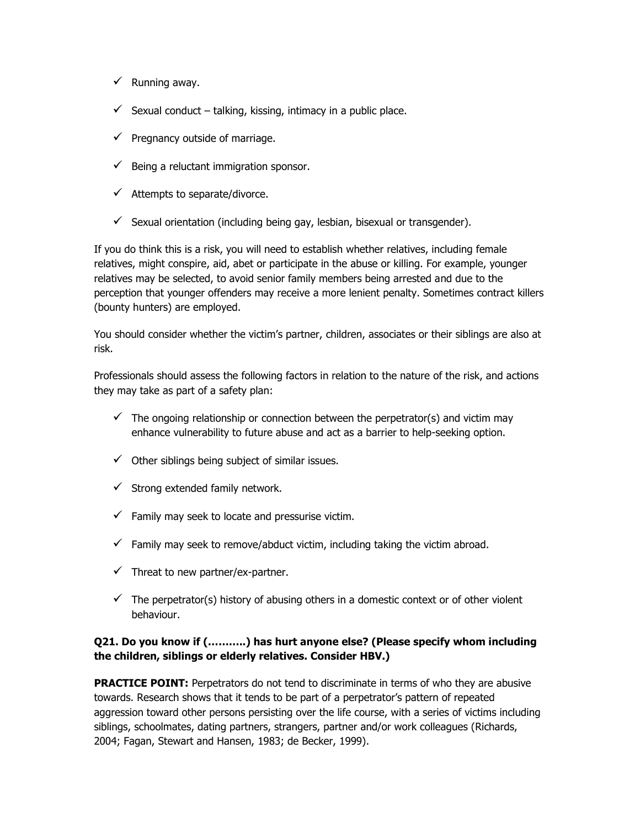- $\checkmark$  Running away.
- $\checkmark$  Sexual conduct talking, kissing, intimacy in a public place.
- $\checkmark$  Pregnancy outside of marriage.
- $\checkmark$  Being a reluctant immigration sponsor.
- $\checkmark$  Attempts to separate/divorce.
- $\checkmark$  Sexual orientation (including being gay, lesbian, bisexual or transgender).

If you do think this is a risk, you will need to establish whether relatives, including female relatives, might conspire, aid, abet or participate in the abuse or killing. For example, younger relatives may be selected, to avoid senior family members being arrested and due to the perception that younger offenders may receive a more lenient penalty. Sometimes contract killers (bounty hunters) are employed.

You should consider whether the victim's partner, children, associates or their siblings are also at risk.

Professionals should assess the following factors in relation to the nature of the risk, and actions they may take as part of a safety plan:

- $\checkmark$  The ongoing relationship or connection between the perpetrator(s) and victim may enhance vulnerability to future abuse and act as a barrier to help-seeking option.
- $\checkmark$  Other siblings being subject of similar issues.
- $\checkmark$  Strong extended family network.
- $\checkmark$  Family may seek to locate and pressurise victim.
- $\checkmark$  Family may seek to remove/abduct victim, including taking the victim abroad.
- $\checkmark$  Threat to new partner/ex-partner.
- $\checkmark$  The perpetrator(s) history of abusing others in a domestic context or of other violent behaviour.

#### **Q21. Do you know if (………..) has hurt anyone else? (Please specify whom including the children, siblings or elderly relatives. Consider HBV.)**

**PRACTICE POINT:** Perpetrators do not tend to discriminate in terms of who they are abusive towards. Research shows that it tends to be part of a perpetrator's pattern of repeated aggression toward other persons persisting over the life course, with a series of victims including siblings, schoolmates, dating partners, strangers, partner and/or work colleagues (Richards, 2004; Fagan, Stewart and Hansen, 1983; de Becker, 1999).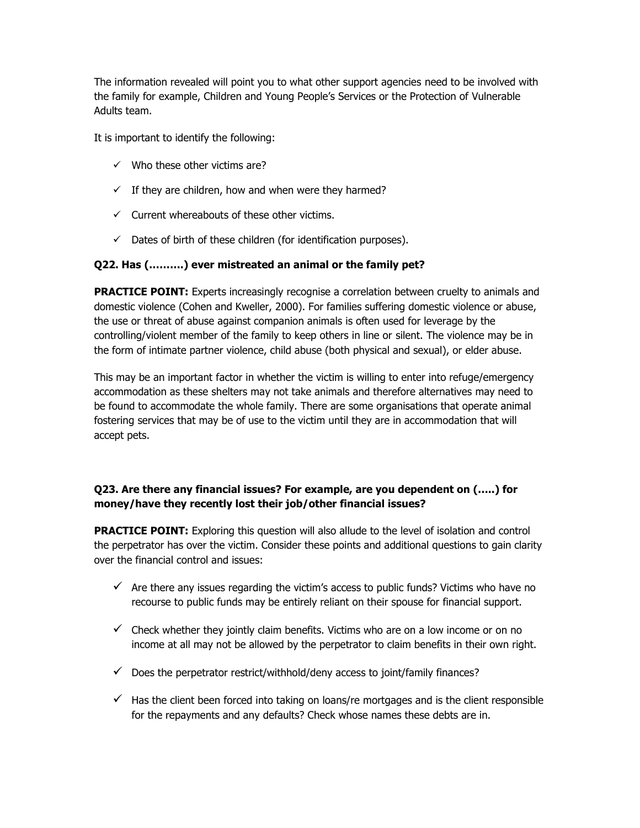The information revealed will point you to what other support agencies need to be involved with the family for example, Children and Young People's Services or the Protection of Vulnerable Adults team.

It is important to identify the following:

- $\checkmark$  Who these other victims are?
- $\checkmark$  If they are children, how and when were they harmed?
- $\checkmark$  Current whereabouts of these other victims.
- $\checkmark$  Dates of birth of these children (for identification purposes).

#### **Q22. Has (……….) ever mistreated an animal or the family pet?**

**PRACTICE POINT:** Experts increasingly recognise a correlation between cruelty to animals and domestic violence (Cohen and Kweller, 2000). For families suffering domestic violence or abuse, the use or threat of abuse against companion animals is often used for leverage by the controlling/violent member of the family to keep others in line or silent. The violence may be in the form of intimate partner violence, child abuse (both physical and sexual), or elder abuse.

This may be an important factor in whether the victim is willing to enter into refuge/emergency accommodation as these shelters may not take animals and therefore alternatives may need to be found to accommodate the whole family. There are some organisations that operate animal fostering services that may be of use to the victim until they are in accommodation that will accept pets.

#### **Q23. Are there any financial issues? For example, are you dependent on (…..) for money/have they recently lost their job/other financial issues?**

**PRACTICE POINT:** Exploring this question will also allude to the level of isolation and control the perpetrator has over the victim. Consider these points and additional questions to gain clarity over the financial control and issues:

- $\checkmark$  Are there any issues regarding the victim's access to public funds? Victims who have no recourse to public funds may be entirely reliant on their spouse for financial support.
- $\checkmark$  Check whether they jointly claim benefits. Victims who are on a low income or on no income at all may not be allowed by the perpetrator to claim benefits in their own right.
- $\checkmark$  Does the perpetrator restrict/withhold/deny access to joint/family finances?
- $\checkmark$  Has the client been forced into taking on loans/re mortgages and is the client responsible for the repayments and any defaults? Check whose names these debts are in.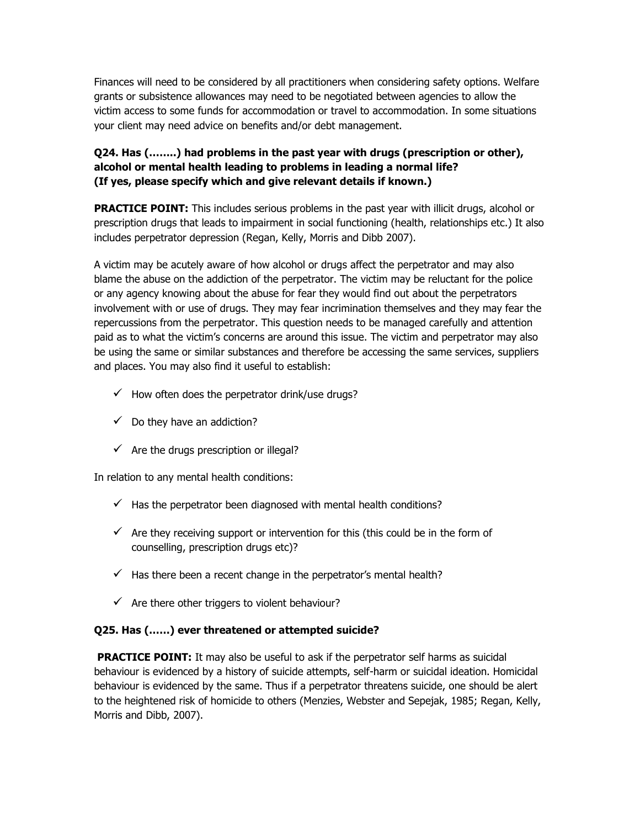Finances will need to be considered by all practitioners when considering safety options. Welfare grants or subsistence allowances may need to be negotiated between agencies to allow the victim access to some funds for accommodation or travel to accommodation. In some situations your client may need advice on benefits and/or debt management.

### **Q24. Has (……..) had problems in the past year with drugs (prescription or other), alcohol or mental health leading to problems in leading a normal life? (If yes, please specify which and give relevant details if known.)**

**PRACTICE POINT:** This includes serious problems in the past year with illicit drugs, alcohol or prescription drugs that leads to impairment in social functioning (health, relationships etc.) It also includes perpetrator depression (Regan, Kelly, Morris and Dibb 2007).

A victim may be acutely aware of how alcohol or drugs affect the perpetrator and may also blame the abuse on the addiction of the perpetrator. The victim may be reluctant for the police or any agency knowing about the abuse for fear they would find out about the perpetrators involvement with or use of drugs. They may fear incrimination themselves and they may fear the repercussions from the perpetrator. This question needs to be managed carefully and attention paid as to what the victim's concerns are around this issue. The victim and perpetrator may also be using the same or similar substances and therefore be accessing the same services, suppliers and places. You may also find it useful to establish:

- $\checkmark$  How often does the perpetrator drink/use drugs?
- $\checkmark$  Do they have an addiction?
- $\checkmark$  Are the drugs prescription or illegal?

In relation to any mental health conditions:

- $\checkmark$  Has the perpetrator been diagnosed with mental health conditions?
- $\checkmark$  Are they receiving support or intervention for this (this could be in the form of counselling, prescription drugs etc)?
- $\checkmark$  Has there been a recent change in the perpetrator's mental health?
- $\checkmark$  Are there other triggers to violent behaviour?

#### **Q25. Has (……) ever threatened or attempted suicide?**

**PRACTICE POINT:** It may also be useful to ask if the perpetrator self harms as suicidal behaviour is evidenced by a history of suicide attempts, self-harm or suicidal ideation. Homicidal behaviour is evidenced by the same. Thus if a perpetrator threatens suicide, one should be alert to the heightened risk of homicide to others (Menzies, Webster and Sepejak, 1985; Regan, Kelly, Morris and Dibb, 2007).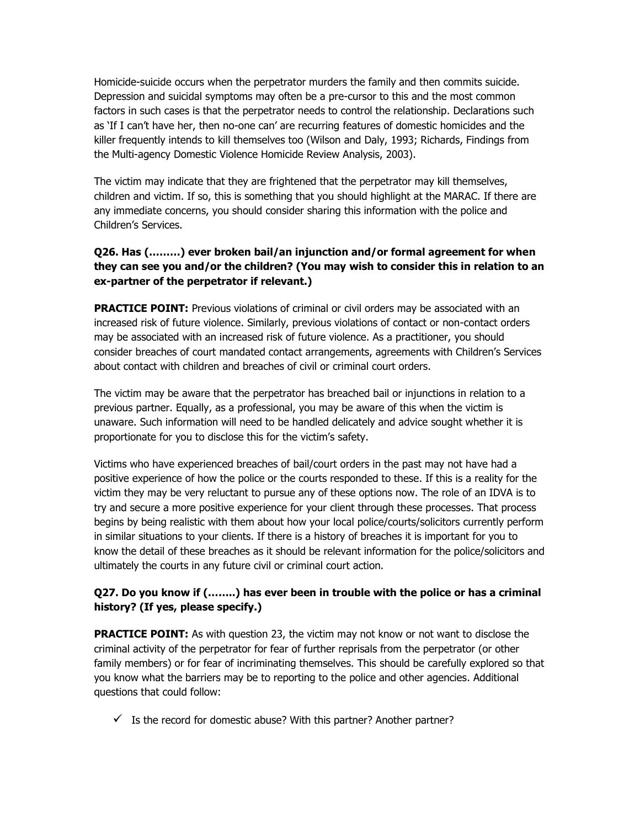Homicide-suicide occurs when the perpetrator murders the family and then commits suicide. Depression and suicidal symptoms may often be a pre-cursor to this and the most common factors in such cases is that the perpetrator needs to control the relationship. Declarations such as 'If I can't have her, then no-one can' are recurring features of domestic homicides and the killer frequently intends to kill themselves too (Wilson and Daly, 1993; Richards, Findings from the Multi-agency Domestic Violence Homicide Review Analysis, 2003).

The victim may indicate that they are frightened that the perpetrator may kill themselves, children and victim. If so, this is something that you should highlight at the MARAC. If there are any immediate concerns, you should consider sharing this information with the police and Children's Services.

## **Q26. Has (………) ever broken bail/an injunction and/or formal agreement for when they can see you and/or the children? (You may wish to consider this in relation to an ex-partner of the perpetrator if relevant.)**

**PRACTICE POINT:** Previous violations of criminal or civil orders may be associated with an increased risk of future violence. Similarly, previous violations of contact or non-contact orders may be associated with an increased risk of future violence. As a practitioner, you should consider breaches of court mandated contact arrangements, agreements with Children's Services about contact with children and breaches of civil or criminal court orders.

The victim may be aware that the perpetrator has breached bail or injunctions in relation to a previous partner. Equally, as a professional, you may be aware of this when the victim is unaware. Such information will need to be handled delicately and advice sought whether it is proportionate for you to disclose this for the victim's safety.

Victims who have experienced breaches of bail/court orders in the past may not have had a positive experience of how the police or the courts responded to these. If this is a reality for the victim they may be very reluctant to pursue any of these options now. The role of an IDVA is to try and secure a more positive experience for your client through these processes. That process begins by being realistic with them about how your local police/courts/solicitors currently perform in similar situations to your clients. If there is a history of breaches it is important for you to know the detail of these breaches as it should be relevant information for the police/solicitors and ultimately the courts in any future civil or criminal court action.

## **Q27. Do you know if (……..) has ever been in trouble with the police or has a criminal history? (If yes, please specify.)**

**PRACTICE POINT:** As with question 23, the victim may not know or not want to disclose the criminal activity of the perpetrator for fear of further reprisals from the perpetrator (or other family members) or for fear of incriminating themselves. This should be carefully explored so that you know what the barriers may be to reporting to the police and other agencies. Additional questions that could follow:

 $\checkmark$  Is the record for domestic abuse? With this partner? Another partner?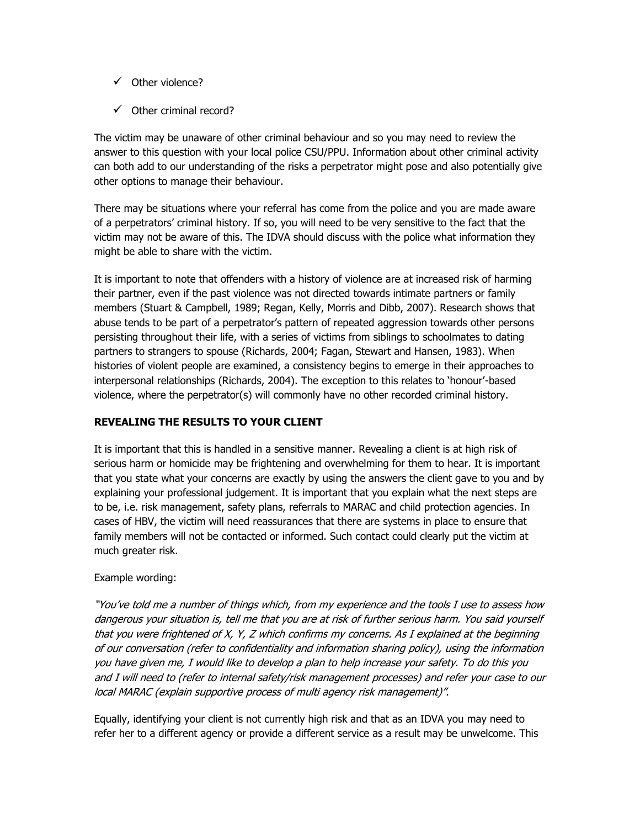- $\checkmark$  Other violence?
- $\checkmark$  Other criminal record?

The victim may be unaware of other criminal behaviour and so you may need to review the answer to this question with your local police CSU/PPU. Information about other criminal activity can both add to our understanding of the risks a perpetrator might pose and also potentially give other options to manage their behaviour.

There may be situations where your referral has come from the police and you are made aware of a perpetrators' criminal history. If so, you will need to be very sensitive to the fact that the victim may not be aware of this. The IDVA should discuss with the police what information they might be able to share with the victim.

It is important to note that offenders with a history of violence are at increased risk of harming their partner, even if the past violence was not directed towards intimate partners or family members (Stuart & Campbell, 1989; Regan, Kelly, Morris and Dibb, 2007). Research shows that abuse tends to be part of a perpetrator's pattern of repeated aggression towards other persons persisting throughout their life, with a series of victims from siblings to schoolmates to dating partners to strangers to spouse (Richards, 2004; Fagan, Stewart and Hansen, 1983). When histories of violent people are examined, a consistency begins to emerge in their approaches to interpersonal relationships (Richards, 2004). The exception to this relates to 'honour'-based violence, where the perpetrator(s) will commonly have no other recorded criminal history.

#### **REVEALING THE RESULTS TO YOUR CLIENT**

It is important that this is handled in a sensitive manner. Revealing a client is at high risk of serious harm or homicide may be frightening and overwhelming for them to hear. It is important that you state what your concerns are exactly by using the answers the client gave to you and by explaining your professional judgement. It is important that you explain what the next steps are to be, i.e. risk management, safety plans, referrals to MARAC and child protection agencies. In cases of HBV, the victim will need reassurances that there are systems in place to ensure that family members will not be contacted or informed. Such contact could clearly put the victim at much greater risk.

#### Example wording:

"You've told me a number of things which, from my experience and the tools I use to assess how dangerous your situation is, tell me that you are at risk of further serious harm. You said yourself that you were frightened of X, Y, Z which confirms my concerns. As I explained at the beginning of our conversation (refer to confidentiality and information sharing policy), using the information you have given me, I would like to develop a plan to help increase your safety. To do this you and I will need to (refer to internal safety/risk management processes) and refer your case to our local MARAC (explain supportive process of multi agency risk management)".

Equally, identifying your client is not currently high risk and that as an IDVA you may need to refer her to a different agency or provide a different service as a result may be unwelcome. This